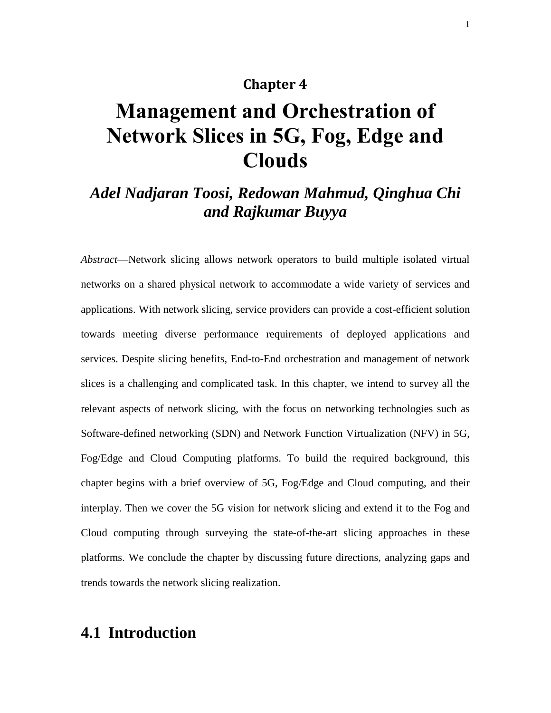#### **Chapter 4**

# **Management and Orchestration of Network Slices in 5G, Fog, Edge and Clouds**

# *Adel Nadjaran Toosi, Redowan Mahmud, Qinghua Chi and Rajkumar Buyya*

*Abstract*—Network slicing allows network operators to build multiple isolated virtual networks on a shared physical network to accommodate a wide variety of services and applications. With network slicing, service providers can provide a cost-efficient solution towards meeting diverse performance requirements of deployed applications and services. Despite slicing benefits, End-to-End orchestration and management of network slices is a challenging and complicated task. In this chapter, we intend to survey all the relevant aspects of network slicing, with the focus on networking technologies such as Software-defined networking (SDN) and Network Function Virtualization (NFV) in 5G, Fog/Edge and Cloud Computing platforms. To build the required background, this chapter begins with a brief overview of 5G, Fog/Edge and Cloud computing, and their interplay. Then we cover the 5G vision for network slicing and extend it to the Fog and Cloud computing through surveying the state-of-the-art slicing approaches in these platforms. We conclude the chapter by discussing future directions, analyzing gaps and trends towards the network slicing realization.

# **4.1 Introduction**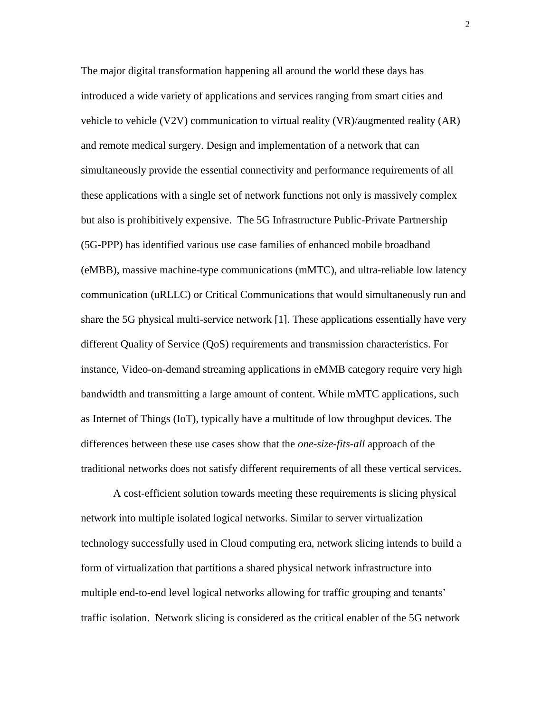The major digital transformation happening all around the world these days has introduced a wide variety of applications and services ranging from smart cities and vehicle to vehicle (V2V) communication to virtual reality (VR)/augmented reality (AR) and remote medical surgery. Design and implementation of a network that can simultaneously provide the essential connectivity and performance requirements of all these applications with a single set of network functions not only is massively complex but also is prohibitively expensive. The 5G Infrastructure Public-Private Partnership (5G-PPP) has identified various use case families of enhanced mobile broadband (eMBB), massive machine-type communications (mMTC), and ultra-reliable low latency communication (uRLLC) or Critical Communications that would simultaneously run and share the 5G physical multi-service network [\[1\].](#page-26-0) These applications essentially have very different Quality of Service (QoS) requirements and transmission characteristics. For instance, Video-on-demand streaming applications in eMMB category require very high bandwidth and transmitting a large amount of content. While mMTC applications, such as Internet of Things (IoT), typically have a multitude of low throughput devices. The differences between these use cases show that the *one-size-fits-all* approach of the traditional networks does not satisfy different requirements of all these vertical services.

A cost-efficient solution towards meeting these requirements is slicing physical network into multiple isolated logical networks. Similar to server virtualization technology successfully used in Cloud computing era, network slicing intends to build a form of virtualization that partitions a shared physical network infrastructure into multiple end-to-end level logical networks allowing for traffic grouping and tenants' traffic isolation. Network slicing is considered as the critical enabler of the 5G network

2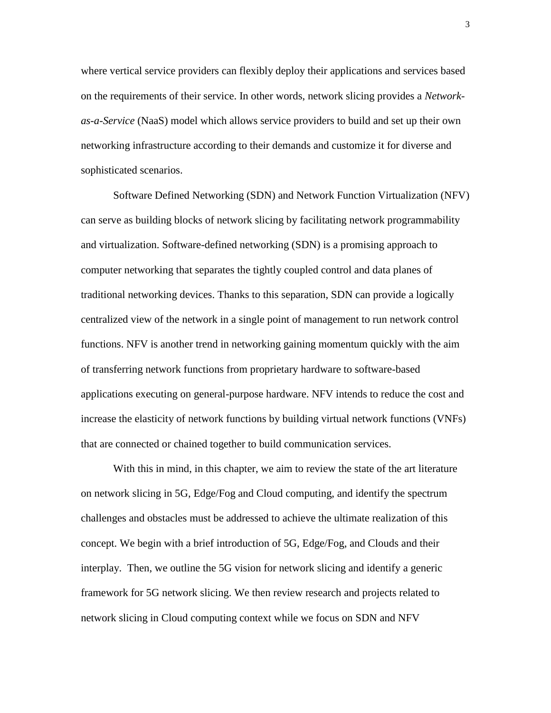where vertical service providers can flexibly deploy their applications and services based on the requirements of their service. In other words, network slicing provides a *Networkas-a-Service* (NaaS) model which allows service providers to build and set up their own networking infrastructure according to their demands and customize it for diverse and sophisticated scenarios.

Software Defined Networking (SDN) and Network Function Virtualization (NFV) can serve as building blocks of network slicing by facilitating network programmability and virtualization. Software-defined networking (SDN) is a promising approach to computer networking that separates the tightly coupled control and data planes of traditional networking devices. Thanks to this separation, SDN can provide a logically centralized view of the network in a single point of management to run network control functions. NFV is another trend in networking gaining momentum quickly with the aim of transferring network functions from proprietary hardware to software-based applications executing on general-purpose hardware. NFV intends to reduce the cost and increase the elasticity of network functions by building virtual network functions (VNFs) that are connected or chained together to build communication services.

With this in mind, in this chapter, we aim to review the state of the art literature on network slicing in 5G, Edge/Fog and Cloud computing, and identify the spectrum challenges and obstacles must be addressed to achieve the ultimate realization of this concept. We begin with a brief introduction of 5G, Edge/Fog, and Clouds and their interplay. Then, we outline the 5G vision for network slicing and identify a generic framework for 5G network slicing. We then review research and projects related to network slicing in Cloud computing context while we focus on SDN and NFV

3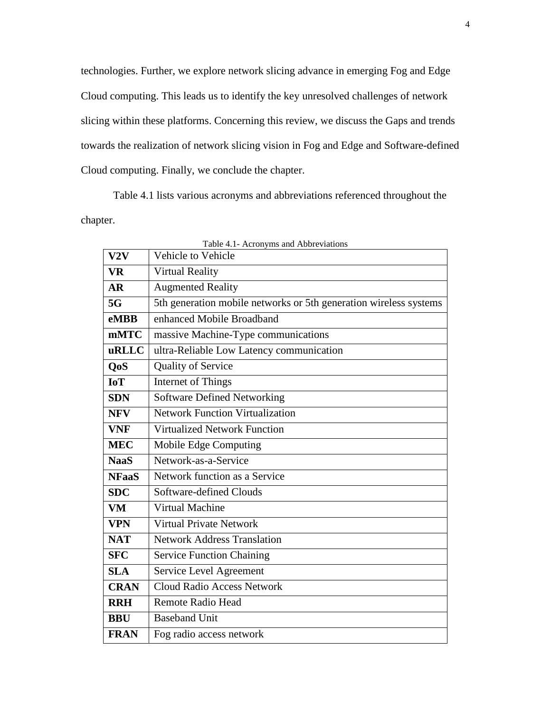technologies. Further, we explore network slicing advance in emerging Fog and Edge Cloud computing. This leads us to identify the key unresolved challenges of network slicing within these platforms. Concerning this review, we discuss the Gaps and trends towards the realization of network slicing vision in Fog and Edge and Software-defined Cloud computing. Finally, we conclude the chapter.

Table 4.1 lists various acronyms and abbreviations referenced throughout the chapter.

| Table 4.1- Acronyms and Abbreviations |                                                                   |  |  |  |
|---------------------------------------|-------------------------------------------------------------------|--|--|--|
| V2V                                   | Vehicle to Vehicle                                                |  |  |  |
| <b>VR</b>                             | <b>Virtual Reality</b>                                            |  |  |  |
| AR                                    | <b>Augmented Reality</b>                                          |  |  |  |
| 5G                                    | 5th generation mobile networks or 5th generation wireless systems |  |  |  |
| <b>eMBB</b>                           | enhanced Mobile Broadband                                         |  |  |  |
| <b>mMTC</b>                           | massive Machine-Type communications                               |  |  |  |
| uRLLC                                 | ultra-Reliable Low Latency communication                          |  |  |  |
| Q <sub>o</sub> S                      | Quality of Service                                                |  |  |  |
| <b>IoT</b>                            | Internet of Things                                                |  |  |  |
| <b>SDN</b>                            | <b>Software Defined Networking</b>                                |  |  |  |
| <b>NFV</b>                            | <b>Network Function Virtualization</b>                            |  |  |  |
| <b>VNF</b>                            | <b>Virtualized Network Function</b>                               |  |  |  |
| <b>MEC</b>                            | Mobile Edge Computing                                             |  |  |  |
| <b>NaaS</b>                           | Network-as-a-Service                                              |  |  |  |
| <b>NFaaS</b>                          | Network function as a Service                                     |  |  |  |
| <b>SDC</b>                            | Software-defined Clouds                                           |  |  |  |
| <b>VM</b>                             | <b>Virtual Machine</b>                                            |  |  |  |
| <b>VPN</b>                            | <b>Virtual Private Network</b>                                    |  |  |  |
| <b>NAT</b>                            | <b>Network Address Translation</b>                                |  |  |  |
| <b>SFC</b>                            | <b>Service Function Chaining</b>                                  |  |  |  |
| <b>SLA</b>                            | Service Level Agreement                                           |  |  |  |
| <b>CRAN</b>                           | <b>Cloud Radio Access Network</b>                                 |  |  |  |
| <b>RRH</b>                            | <b>Remote Radio Head</b>                                          |  |  |  |
| <b>BBU</b>                            | <b>Baseband Unit</b>                                              |  |  |  |
| <b>FRAN</b>                           | Fog radio access network                                          |  |  |  |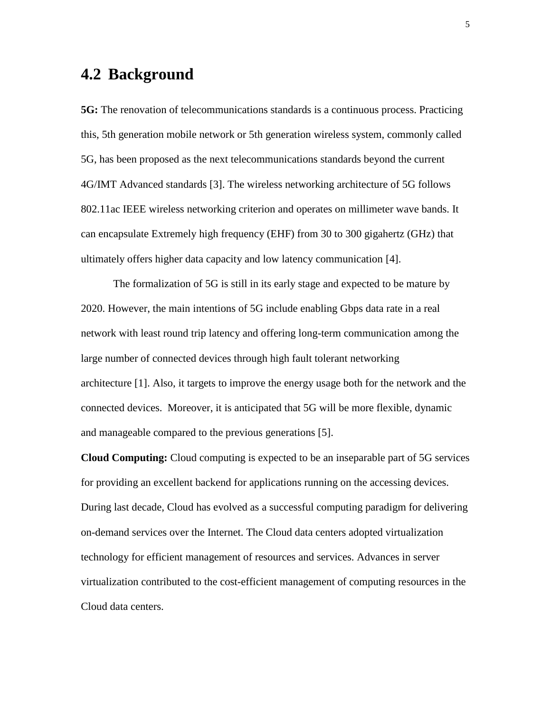# **4.2 Background**

**5G:** The renovation of telecommunications standards is a continuous process. Practicing this, 5th generation mobile network or 5th generation wireless system, commonly called 5G, has been proposed as the next telecommunications standards beyond the current 4G/IMT Advanced standards [\[3\].](#page-26-1) The wireless networking architecture of 5G follows 802.11ac IEEE wireless networking criterion and operates on millimeter wave bands. It can encapsulate Extremely high frequency (EHF) from 30 to 300 gigahertz (GHz) that ultimately offers higher data capacity and low latency communication [\[4\].](#page-26-2)

The formalization of 5G is still in its early stage and expected to be mature by 2020. However, the main intentions of 5G include enabling Gbps data rate in a real network with least round trip latency and offering long-term communication among the large number of connected devices through high fault tolerant networking architecture [\[1\].](#page-26-0) Also, it targets to improve the energy usage both for the network and the connected devices. Moreover, it is anticipated that 5G will be more flexible, dynamic and manageable compared to the previous generations [\[5\].](#page-26-3)

**Cloud Computing:** Cloud computing is expected to be an inseparable part of 5G services for providing an excellent backend for applications running on the accessing devices. During last decade, Cloud has evolved as a successful computing paradigm for delivering on-demand services over the Internet. The Cloud data centers adopted virtualization technology for efficient management of resources and services. Advances in server virtualization contributed to the cost-efficient management of computing resources in the Cloud data centers.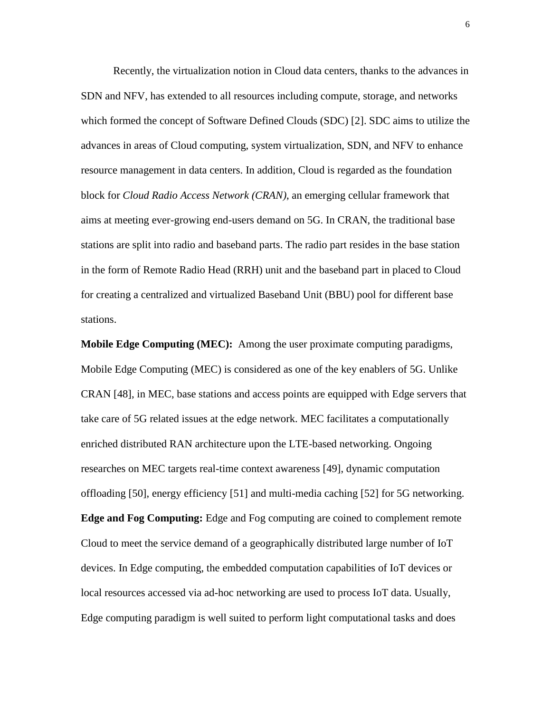Recently, the virtualization notion in Cloud data centers, thanks to the advances in SDN and NFV, has extended to all resources including compute, storage, and networks which formed the concept of Software Defined Clouds (SDC) [\[2\].](#page-26-4) SDC aims to utilize the advances in areas of Cloud computing, system virtualization, SDN, and NFV to enhance resource management in data centers. In addition, Cloud is regarded as the foundation block for *Cloud Radio Access Network (CRAN)*, an emerging cellular framework that aims at meeting ever-growing end-users demand on 5G. In CRAN, the traditional base stations are split into radio and baseband parts. The radio part resides in the base station in the form of Remote Radio Head (RRH) unit and the baseband part in placed to Cloud for creating a centralized and virtualized Baseband Unit (BBU) pool for different base stations.

**Mobile Edge Computing (MEC):** Among the user proximate computing paradigms, Mobile Edge Computing (MEC) is considered as one of the key enablers of 5G. Unlike CRAN [\[48\],](#page-29-0) in MEC, base stations and access points are equipped with Edge servers that take care of 5G related issues at the edge network. MEC facilitates a computationally enriched distributed RAN architecture upon the LTE-based networking. Ongoing researches on MEC targets real-time context awareness [\[49\],](#page-29-1) dynamic computation offloading [\[50\],](#page-29-2) energy efficiency [\[51\]](#page-30-0) and multi-media caching [\[52\]](#page-30-1) for 5G networking. **Edge and Fog Computing:** Edge and Fog computing are coined to complement remote Cloud to meet the service demand of a geographically distributed large number of IoT devices. In Edge computing, the embedded computation capabilities of IoT devices or local resources accessed via ad-hoc networking are used to process IoT data. Usually, Edge computing paradigm is well suited to perform light computational tasks and does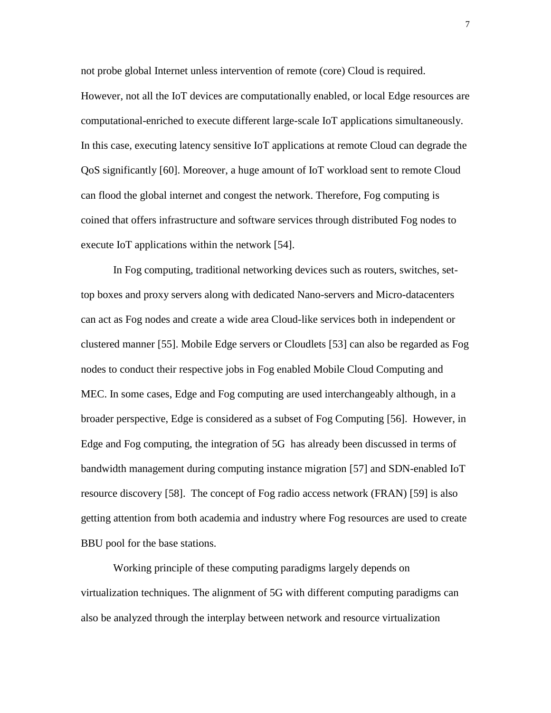not probe global Internet unless intervention of remote (core) Cloud is required.

However, not all the IoT devices are computationally enabled, or local Edge resources are computational-enriched to execute different large-scale IoT applications simultaneously. In this case, executing latency sensitive IoT applications at remote Cloud can degrade the QoS significantly [\[60\].](#page-30-2) Moreover, a huge amount of IoT workload sent to remote Cloud can flood the global internet and congest the network. Therefore, Fog computing is coined that offers infrastructure and software services through distributed Fog nodes to execute IoT applications within the network [\[54\].](#page-30-3)

In Fog computing, traditional networking devices such as routers, switches, settop boxes and proxy servers along with dedicated Nano-servers and Micro-datacenters can act as Fog nodes and create a wide area Cloud-like services both in independent or clustered manner [\[55\].](#page-30-4) Mobile Edge servers or Cloudlets [\[53\]](#page-30-5) can also be regarded as Fog nodes to conduct their respective jobs in Fog enabled Mobile Cloud Computing and MEC. In some cases, Edge and Fog computing are used interchangeably although, in a broader perspective, Edge is considered as a subset of Fog Computing [\[56\].](#page-30-6) However, in Edge and Fog computing, the integration of 5G has already been discussed in terms of bandwidth management during computing instance migration [\[57\]](#page-30-7) and SDN-enabled IoT resource discovery [\[58\].](#page-30-8) The concept of Fog radio access network (FRAN) [\[59\]](#page-30-9) is also getting attention from both academia and industry where Fog resources are used to create BBU pool for the base stations.

Working principle of these computing paradigms largely depends on virtualization techniques. The alignment of 5G with different computing paradigms can also be analyzed through the interplay between network and resource virtualization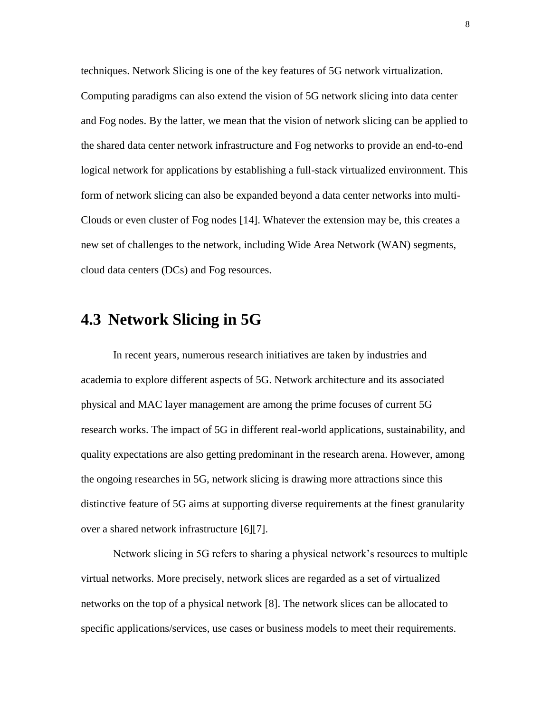techniques. Network Slicing is one of the key features of 5G network virtualization. Computing paradigms can also extend the vision of 5G network slicing into data center and Fog nodes. By the latter, we mean that the vision of network slicing can be applied to the shared data center network infrastructure and Fog networks to provide an end-to-end logical network for applications by establishing a full-stack virtualized environment. This form of network slicing can also be expanded beyond a data center networks into multi-Clouds or even cluster of Fog nodes [\[14\].](#page-27-0) Whatever the extension may be, this creates a new set of challenges to the network, including Wide Area Network (WAN) segments, cloud data centers (DCs) and Fog resources.

# **4.3 Network Slicing in 5G**

In recent years, numerous research initiatives are taken by industries and academia to explore different aspects of 5G. Network architecture and its associated physical and MAC layer management are among the prime focuses of current 5G research works. The impact of 5G in different real-world applications, sustainability, and quality expectations are also getting predominant in the research arena. However, among the ongoing researches in 5G, network slicing is drawing more attractions since this distinctive feature of 5G aims at supporting diverse requirements at the finest granularity over a shared network infrastructure [\[6\]\[7\].](#page-26-5)

Network slicing in 5G refers to sharing a physical network's resources to multiple virtual networks. More precisely, network slices are regarded as a set of virtualized networks on the top of a physical network [\[8\].](#page-26-6) The network slices can be allocated to specific applications/services, use cases or business models to meet their requirements.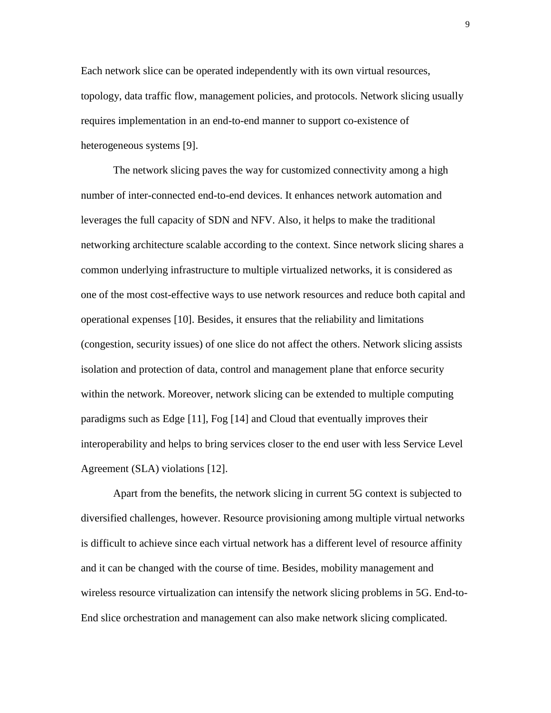Each network slice can be operated independently with its own virtual resources, topology, data traffic flow, management policies, and protocols. Network slicing usually requires implementation in an end-to-end manner to support co-existence of heterogeneous systems [\[9\].](#page-26-7)

The network slicing paves the way for customized connectivity among a high number of inter-connected end-to-end devices. It enhances network automation and leverages the full capacity of SDN and NFV. Also, it helps to make the traditional networking architecture scalable according to the context. Since network slicing shares a common underlying infrastructure to multiple virtualized networks, it is considered as one of the most cost-effective ways to use network resources and reduce both capital and operational expenses [\[10\].](#page-26-8) Besides, it ensures that the reliability and limitations (congestion, security issues) of one slice do not affect the others. Network slicing assists isolation and protection of data, control and management plane that enforce security within the network. Moreover, network slicing can be extended to multiple computing paradigms such as Edge [\[11\],](#page-26-9) Fog [\[14\]](#page-27-0) and Cloud that eventually improves their interoperability and helps to bring services closer to the end user with less Service Level Agreement (SLA) violations [\[12\].](#page-26-10)

Apart from the benefits, the network slicing in current 5G context is subjected to diversified challenges, however. Resource provisioning among multiple virtual networks is difficult to achieve since each virtual network has a different level of resource affinity and it can be changed with the course of time. Besides, mobility management and wireless resource virtualization can intensify the network slicing problems in 5G. End-to-End slice orchestration and management can also make network slicing complicated.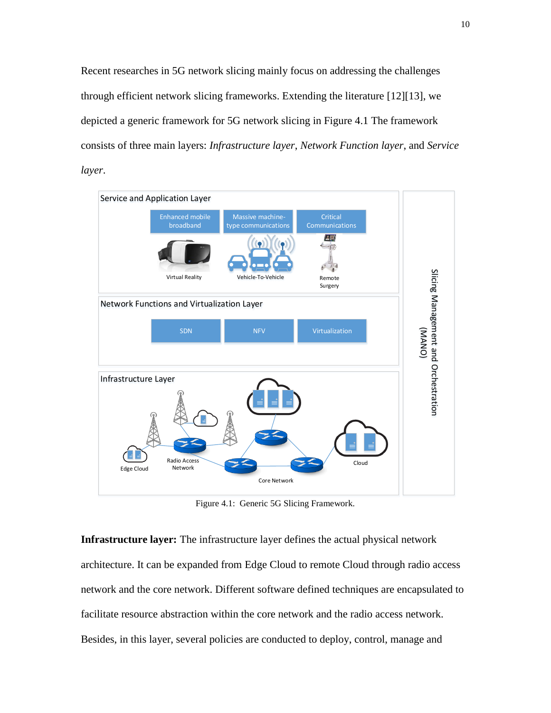Recent researches in 5G network slicing mainly focus on addressing the challenges through efficient network slicing frameworks. Extending the literature [\[12\]\[13\],](#page-26-10) we depicted a generic framework for 5G network slicing in Figure 4.1 The framework consists of three main layers: *Infrastructure layer*, *Network Function layer*, and *Service layer*.



Figure 4.1: Generic 5G Slicing Framework.

**Infrastructure layer:** The infrastructure layer defines the actual physical network architecture. It can be expanded from Edge Cloud to remote Cloud through radio access network and the core network. Different software defined techniques are encapsulated to facilitate resource abstraction within the core network and the radio access network. Besides, in this layer, several policies are conducted to deploy, control, manage and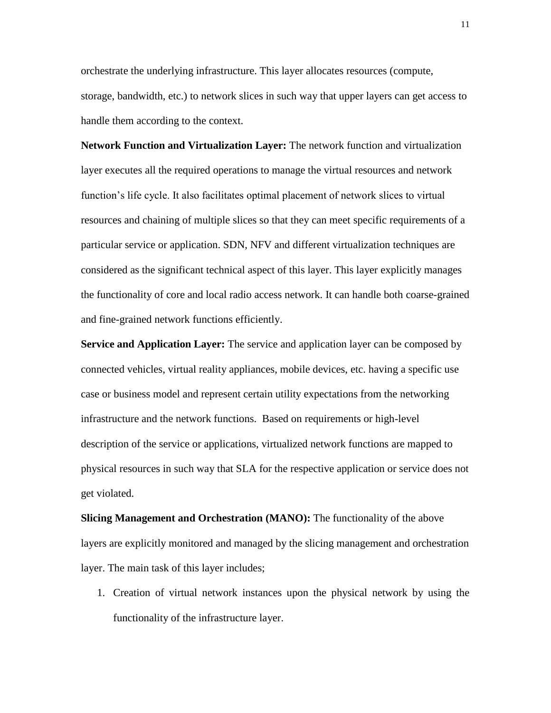orchestrate the underlying infrastructure. This layer allocates resources (compute, storage, bandwidth, etc.) to network slices in such way that upper layers can get access to handle them according to the context.

**Network Function and Virtualization Layer:** The network function and virtualization layer executes all the required operations to manage the virtual resources and network function's life cycle. It also facilitates optimal placement of network slices to virtual resources and chaining of multiple slices so that they can meet specific requirements of a particular service or application. SDN, NFV and different virtualization techniques are considered as the significant technical aspect of this layer. This layer explicitly manages the functionality of core and local radio access network. It can handle both coarse-grained and fine-grained network functions efficiently.

**Service and Application Layer:** The service and application layer can be composed by connected vehicles, virtual reality appliances, mobile devices, etc. having a specific use case or business model and represent certain utility expectations from the networking infrastructure and the network functions. Based on requirements or high-level description of the service or applications, virtualized network functions are mapped to physical resources in such way that SLA for the respective application or service does not get violated.

**Slicing Management and Orchestration (MANO):** The functionality of the above layers are explicitly monitored and managed by the slicing management and orchestration layer. The main task of this layer includes;

1. Creation of virtual network instances upon the physical network by using the functionality of the infrastructure layer.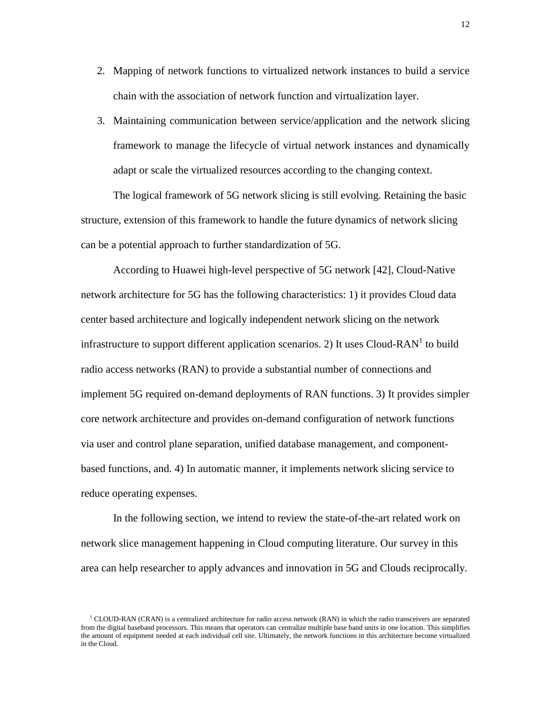- 2. Mapping of network functions to virtualized network instances to build a service chain with the association of network function and virtualization layer.
- 3. Maintaining communication between service/application and the network slicing framework to manage the lifecycle of virtual network instances and dynamically adapt or scale the virtualized resources according to the changing context.

The logical framework of 5G network slicing is still evolving. Retaining the basic structure, extension of this framework to handle the future dynamics of network slicing can be a potential approach to further standardization of 5G.

According to Huawei high-level perspective of 5G network [\[42\],](#page-29-3) Cloud-Native network architecture for 5G has the following characteristics: 1) it provides Cloud data center based architecture and logically independent network slicing on the network infrastructure to support different application scenarios. 2) It uses Cloud-RAN<sup>1</sup> to build radio access networks (RAN) to provide a substantial number of connections and implement 5G required on-demand deployments of RAN functions. 3) It provides simpler core network architecture and provides on-demand configuration of network functions via user and control plane separation, unified database management, and componentbased functions, and. 4) In automatic manner, it implements network slicing service to reduce operating expenses.

In the following section, we intend to review the state-of-the-art related work on network slice management happening in Cloud computing literature. Our survey in this area can help researcher to apply advances and innovation in 5G and Clouds reciprocally.

<sup>&</sup>lt;sup>1</sup> CLOUD-RAN (CRAN) is a centralized architecture for radio access network (RAN) in which the radio transceivers are separated from the digital baseband processors. This means that operators can centralize multiple base band units in one location. This simplifies the amount of equipment needed at each individual cell site. Ultimately, the network functions in this architecture become virtualized in the Cloud.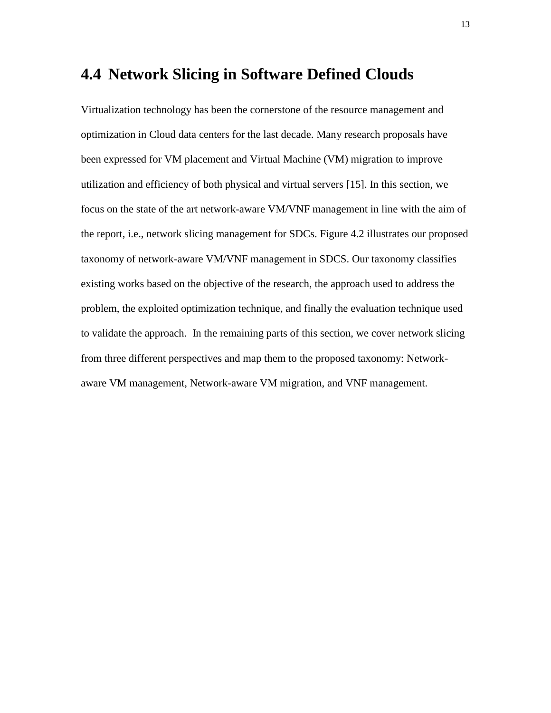### **4.4 Network Slicing in Software Defined Clouds**

Virtualization technology has been the cornerstone of the resource management and optimization in Cloud data centers for the last decade. Many research proposals have been expressed for VM placement and Virtual Machine (VM) migration to improve utilization and efficiency of both physical and virtual servers [\[15\].](#page-27-1) In this section, we focus on the state of the art network-aware VM/VNF management in line with the aim of the report, i.e., network slicing management for SDCs. Figure 4.2 illustrates our proposed taxonomy of network-aware VM/VNF management in SDCS. Our taxonomy classifies existing works based on the objective of the research, the approach used to address the problem, the exploited optimization technique, and finally the evaluation technique used to validate the approach. In the remaining parts of this section, we cover network slicing from three different perspectives and map them to the proposed taxonomy: Networkaware VM management, Network-aware VM migration, and VNF management.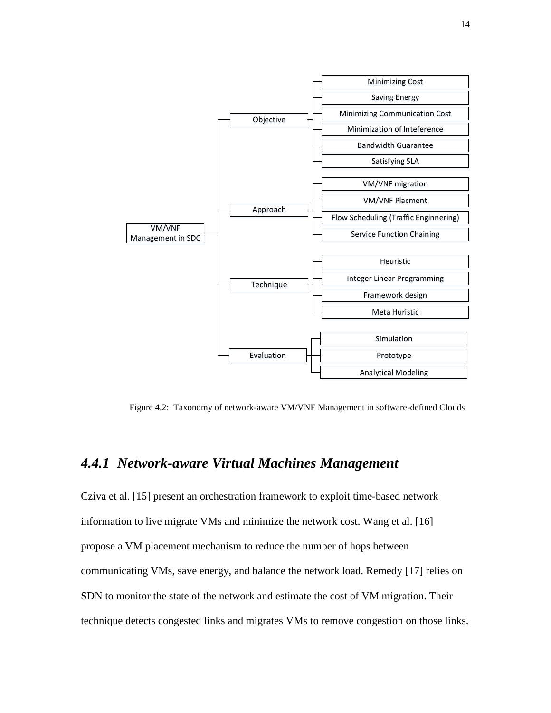

Figure 4.2: Taxonomy of network-aware VM/VNF Management in software-defined Clouds

#### *4.4.1 Network-aware Virtual Machines Management*

Cziva et al. [\[15\]](#page-27-1) present an orchestration framework to exploit time-based network information to live migrate VMs and minimize the network cost. Wang et al. [\[16\]](#page-27-2) propose a VM placement mechanism to reduce the number of hops between communicating VMs, save energy, and balance the network load. Remedy [\[17\]](#page-27-3) relies on SDN to monitor the state of the network and estimate the cost of VM migration. Their technique detects congested links and migrates VMs to remove congestion on those links.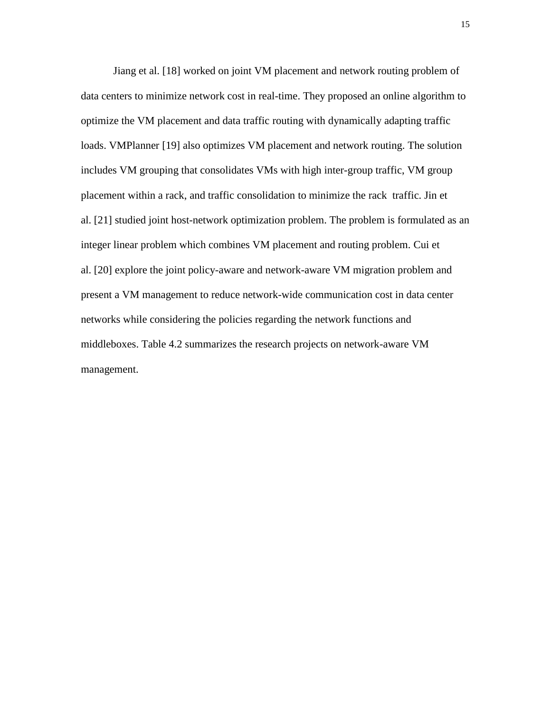Jiang et al. [\[18\]](#page-27-4) worked on joint VM placement and network routing problem of data centers to minimize network cost in real-time. They proposed an online algorithm to optimize the VM placement and data traffic routing with dynamically adapting traffic loads. VMPlanner [\[19\]](#page-27-5) also optimizes VM placement and network routing. The solution includes VM grouping that consolidates VMs with high inter-group traffic, VM group placement within a rack, and traffic consolidation to minimize the rack traffic. Jin et al. [\[21\]](#page-27-6) studied joint host-network optimization problem. The problem is formulated as an integer linear problem which combines VM placement and routing problem. Cui et al. [\[20\]](#page-27-7) explore the joint policy-aware and network-aware VM migration problem and present a VM management to reduce network-wide communication cost in data center networks while considering the policies regarding the network functions and middleboxes. Table 4.2 summarizes the research projects on network-aware VM management.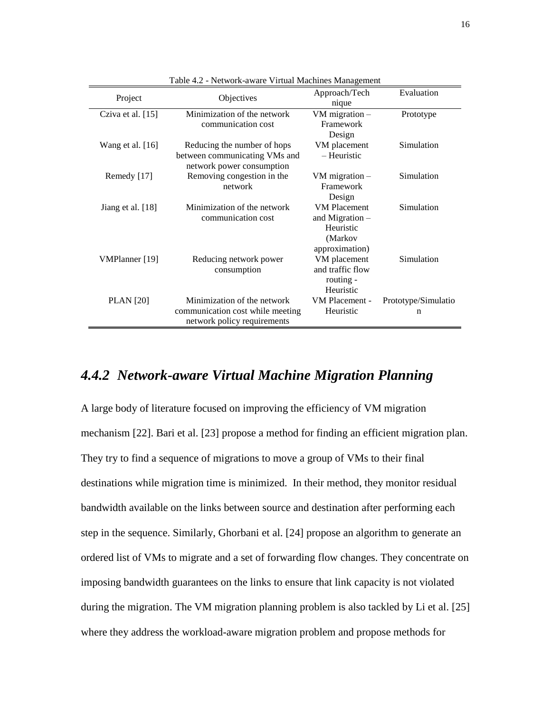| Project             | Objectives                       | Approach/Tech       | Evaluation          |
|---------------------|----------------------------------|---------------------|---------------------|
|                     |                                  | nique               |                     |
| Cziva et al. $[15]$ | Minimization of the network      | VM migration $-$    | Prototype           |
|                     | communication cost               | Framework           |                     |
|                     |                                  | Design              |                     |
| Wang et al. [16]    | Reducing the number of hops      | VM placement        | Simulation          |
|                     | between communicating VMs and    | – Heuristic         |                     |
|                     | network power consumption        |                     |                     |
| Remedy [17]         | Removing congestion in the       | VM migration $-$    | Simulation          |
|                     | network                          | Framework           |                     |
|                     |                                  | Design              |                     |
| Jiang et al. [18]   | Minimization of the network      | <b>VM Placement</b> | Simulation          |
|                     | communication cost               | and Migration $-$   |                     |
|                     |                                  | Heuristic           |                     |
|                     |                                  | (Markov             |                     |
|                     |                                  | approximation)      |                     |
| VMPlanner [19]      | Reducing network power           | VM placement        | Simulation          |
|                     | consumption                      | and traffic flow    |                     |
|                     |                                  | routing -           |                     |
|                     |                                  | Heuristic           |                     |
| <b>PLAN</b> [20]    | Minimization of the network      | VM Placement -      | Prototype/Simulatio |
|                     | communication cost while meeting | Heuristic           | n                   |
|                     | network policy requirements      |                     |                     |
|                     |                                  |                     |                     |

Table 4.2 - Network-aware Virtual Machines Management

#### *4.4.2 Network-aware Virtual Machine Migration Planning*

A large body of literature focused on improving the efficiency of VM migration mechanism [\[22\].](#page-27-8) Bari et al. [\[23\]](#page-27-9) propose a method for finding an efficient migration plan. They try to find a sequence of migrations to move a group of VMs to their final destinations while migration time is minimized. In their method, they monitor residual bandwidth available on the links between source and destination after performing each step in the sequence. Similarly, Ghorbani et al. [\[24\]](#page-27-10) propose an algorithm to generate an ordered list of VMs to migrate and a set of forwarding flow changes. They concentrate on imposing bandwidth guarantees on the links to ensure that link capacity is not violated during the migration. The VM migration planning problem is also tackled by Li et al. [\[25\]](#page-27-11) where they address the workload-aware migration problem and propose methods for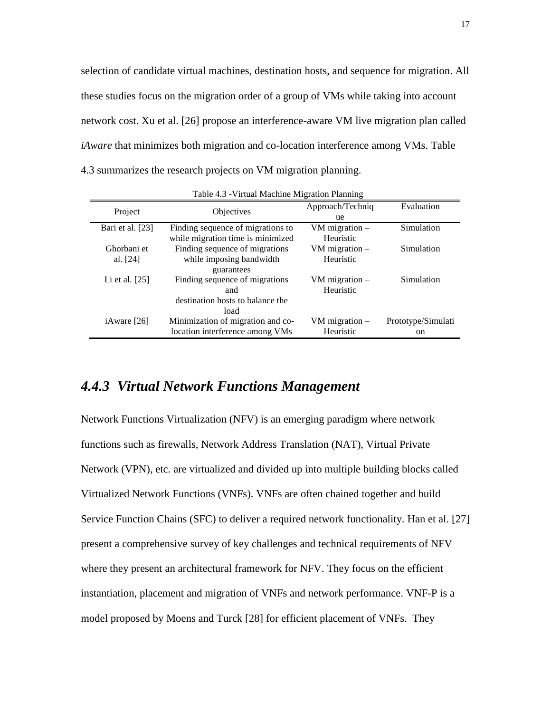selection of candidate virtual machines, destination hosts, and sequence for migration. All these studies focus on the migration order of a group of VMs while taking into account network cost. Xu et al. [\[26\]](#page-27-12) propose an interference-aware VM live migration plan called *iAware* that minimizes both migration and co-location interference among VMs. Table 4.3 summarizes the research projects on VM migration planning.

| Table 4.5 - VIIIual Machine Migration Frammig |                                   |                  |                    |  |
|-----------------------------------------------|-----------------------------------|------------------|--------------------|--|
| Project                                       | Objectives                        | Approach/Techniq | Evaluation         |  |
|                                               |                                   | ue               |                    |  |
| Bari et al. [23]                              | Finding sequence of migrations to | VM migration $-$ | Simulation         |  |
|                                               | while migration time is minimized | Heuristic        |                    |  |
| Ghorbani et                                   | Finding sequence of migrations    | VM migration $-$ | Simulation         |  |
| al. $[24]$                                    | while imposing bandwidth          | Heuristic        |                    |  |
|                                               | guarantees                        |                  |                    |  |
| Li et al. $[25]$                              | Finding sequence of migrations    | VM migration $-$ | Simulation         |  |
|                                               | and                               | Heuristic        |                    |  |
|                                               | destination hosts to balance the  |                  |                    |  |
|                                               | load                              |                  |                    |  |
| iAware [26]                                   | Minimization of migration and co- | VM migration $-$ | Prototype/Simulati |  |
|                                               | location interference among VMs   | Heuristic        | on                 |  |

Table 4.3 -Virtual Machine Migration Planning

#### *4.4.3 Virtual Network Functions Management*

Network Functions Virtualization (NFV) is an emerging paradigm where network functions such as firewalls, Network Address Translation (NAT), Virtual Private Network (VPN), etc. are virtualized and divided up into multiple building blocks called Virtualized Network Functions (VNFs). VNFs are often chained together and build Service Function Chains (SFC) to deliver a required network functionality. Han et al. [\[27\]](#page-28-0) present a comprehensive survey of key challenges and technical requirements of NFV where they present an architectural framework for NFV. They focus on the efficient instantiation, placement and migration of VNFs and network performance. VNF-P is a model proposed by Moens and Turck [\[28\]](#page-28-1) for efficient placement of VNFs. They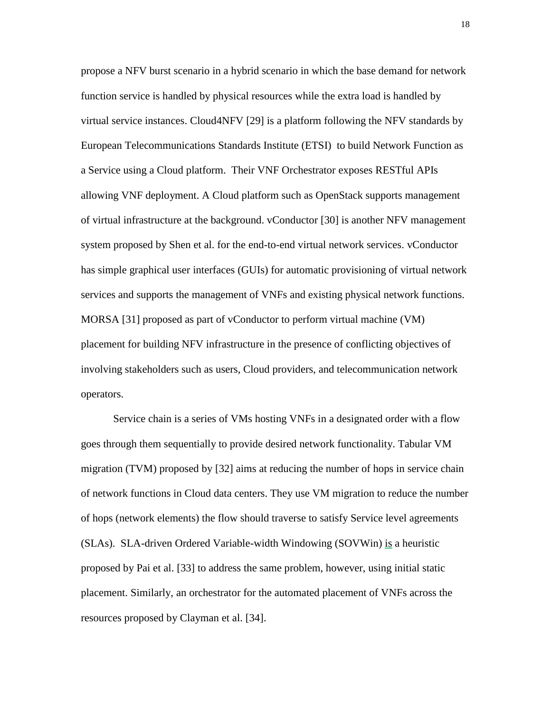propose a NFV burst scenario in a hybrid scenario in which the base demand for network function service is handled by physical resources while the extra load is handled by virtual service instances. Cloud4NFV [\[29\]](#page-28-2) is a platform following the NFV standards by European Telecommunications Standards Institute (ETSI) to build Network Function as a Service using a Cloud platform. Their VNF Orchestrator exposes RESTful APIs allowing VNF deployment. A Cloud platform such as OpenStack supports management of virtual infrastructure at the background. vConductor [\[30\]](#page-28-3) is another NFV management system proposed by Shen et al. for the end-to-end virtual network services. vConductor has simple graphical user interfaces (GUIs) for automatic provisioning of virtual network services and supports the management of VNFs and existing physical network functions. MORSA [\[31\]](#page-28-4) proposed as part of vConductor to perform virtual machine (VM) placement for building NFV infrastructure in the presence of conflicting objectives of involving stakeholders such as users, Cloud providers, and telecommunication network operators.

Service chain is a series of VMs hosting VNFs in a designated order with a flow goes through them sequentially to provide desired network functionality. Tabular VM migration (TVM) proposed by [\[32\]](#page-28-5) aims at reducing the number of hops in service chain of network functions in Cloud data centers. They use VM migration to reduce the number of hops (network elements) the flow should traverse to satisfy Service level agreements (SLAs). SLA-driven Ordered Variable-width Windowing (SOVWin) is a heuristic proposed by Pai et al. [\[33\]](#page-28-6) to address the same problem, however, using initial static placement. Similarly, an orchestrator for the automated placement of VNFs across the resources proposed by Clayman et al. [\[34\].](#page-28-7)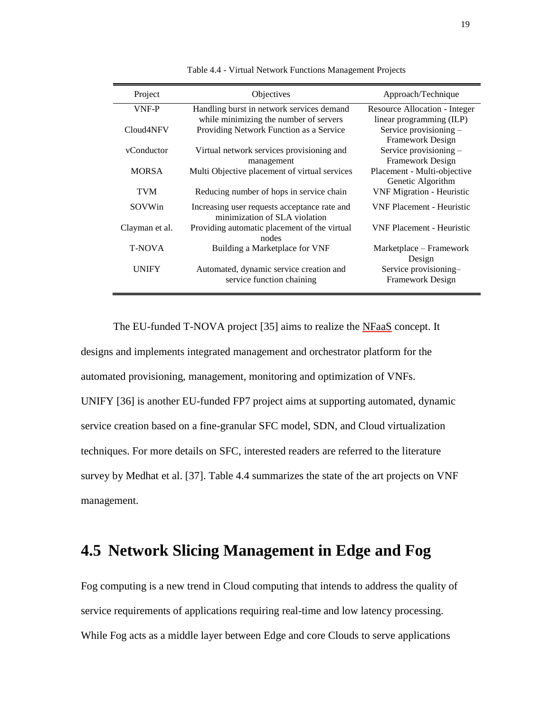| Project                | Objectives                                                                    | Approach/Technique                               |
|------------------------|-------------------------------------------------------------------------------|--------------------------------------------------|
| VNF-P                  | Handling burst in network services demand                                     | Resource Allocation - Integer                    |
|                        | while minimizing the number of servers                                        | linear programming (ILP)                         |
| Cloud <sub>4</sub> NFV | Providing Network Function as a Service                                       | Service provisioning -                           |
|                        |                                                                               | Framework Design                                 |
| vConductor             | Virtual network services provisioning and                                     | Service provisioning -                           |
|                        | management                                                                    | Framework Design                                 |
| <b>MORSA</b>           | Multi Objective placement of virtual services                                 | Placement - Multi-objective<br>Genetic Algorithm |
| <b>TVM</b>             | Reducing number of hops in service chain                                      | <b>VNF Migration - Heuristic</b>                 |
| SOVWin                 | Increasing user requests acceptance rate and<br>minimization of SLA violation | <b>VNF Placement - Heuristic</b>                 |
| Clayman et al.         | Providing automatic placement of the virtual<br>nodes                         | <b>VNF Placement - Heuristic</b>                 |
| <b>T-NOVA</b>          | Building a Marketplace for VNF                                                | Marketplace – Framework<br>Design                |
| UNIFY                  | Automated, dynamic service creation and                                       | Service provisioning-                            |
|                        | service function chaining                                                     | Framework Design                                 |

Table 4.4 - Virtual Network Functions Management Projects

The EU-funded T-NOVA project [\[35\]](#page-28-8) aims to realize the NFaaS concept. It designs and implements integrated management and orchestrator platform for the automated provisioning, management, monitoring and optimization of VNFs. UNIFY [\[36\]](#page-28-9) is another EU-funded FP7 project aims at supporting automated, dynamic service creation based on a fine-granular SFC model, SDN, and Cloud virtualization techniques. For more details on SFC, interested readers are referred to the literature survey by Medhat et al. [\[37\].](#page-28-10) Table 4.4 summarizes the state of the art projects on VNF management.

# **4.5 Network Slicing Management in Edge and Fog**

Fog computing is a new trend in Cloud computing that intends to address the quality of service requirements of applications requiring real-time and low latency processing. While Fog acts as a middle layer between Edge and core Clouds to serve applications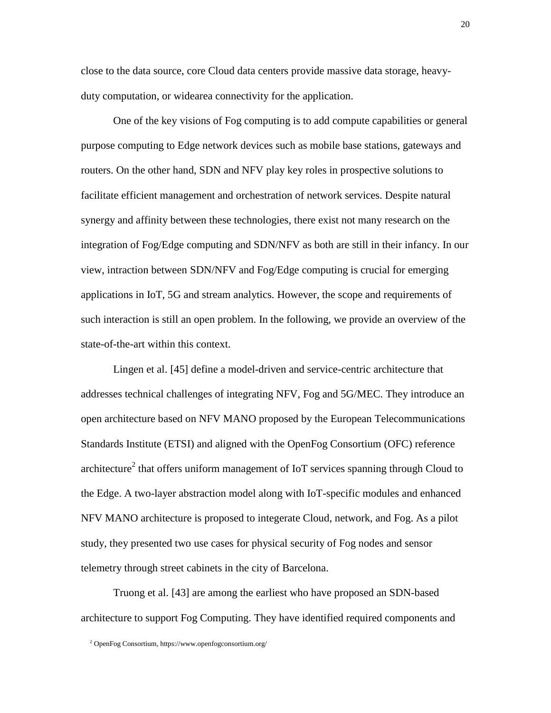close to the data source, core Cloud data centers provide massive data storage, heavyduty computation, or widearea connectivity for the application.

One of the key visions of Fog computing is to add compute capabilities or general purpose computing to Edge network devices such as mobile base stations, gateways and routers. On the other hand, SDN and NFV play key roles in prospective solutions to facilitate efficient management and orchestration of network services. Despite natural synergy and affinity between these technologies, there exist not many research on the integration of Fog/Edge computing and SDN/NFV as both are still in their infancy. In our view, intraction between SDN/NFV and Fog/Edge computing is crucial for emerging applications in IoT, 5G and stream analytics. However, the scope and requirements of such interaction is still an open problem. In the following, we provide an overview of the state-of-the-art within this context.

Lingen et al. [\[45\]](#page-29-4) define a model-driven and service-centric architecture that addresses technical challenges of integrating NFV, Fog and 5G/MEC. They introduce an open architecture based on NFV MANO proposed by the European Telecommunications Standards Institute (ETSI) and aligned with the OpenFog Consortium (OFC) reference architecture<sup>2</sup> that offers uniform management of IoT services spanning through Cloud to the Edge. A two-layer abstraction model along with IoT-specific modules and enhanced NFV MANO architecture is proposed to integerate Cloud, network, and Fog. As a pilot study, they presented two use cases for physical security of Fog nodes and sensor telemetry through street cabinets in the city of Barcelona.

Truong et al. [\[43\]](#page-29-5) are among the earliest who have proposed an SDN-based architecture to support Fog Computing. They have identified required components and

<sup>2</sup> OpenFog Consortium, https://www.openfogconsortium.org/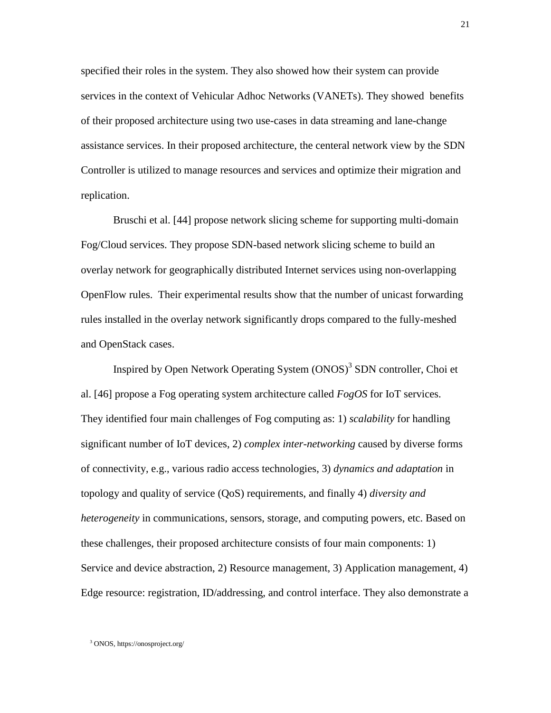specified their roles in the system. They also showed how their system can provide services in the context of Vehicular Adhoc Networks (VANETs). They showed benefits of their proposed architecture using two use-cases in data streaming and lane-change assistance services. In their proposed architecture, the centeral network view by the SDN Controller is utilized to manage resources and services and optimize their migration and replication.

Bruschi et al. [\[44\]](#page-29-6) propose network slicing scheme for supporting multi-domain Fog/Cloud services. They propose SDN-based network slicing scheme to build an overlay network for geographically distributed Internet services using non-overlapping OpenFlow rules. Their experimental results show that the number of unicast forwarding rules installed in the overlay network significantly drops compared to the fully-meshed and OpenStack cases.

Inspired by Open Network Operating System (ONOS)<sup>3</sup> SDN controller, Choi et al. [\[46\]](#page-29-7) propose a Fog operating system architecture called *FogOS* for IoT services. They identified four main challenges of Fog computing as: 1) *scalability* for handling significant number of IoT devices, 2) *complex inter-networking* caused by diverse forms of connectivity, e.g., various radio access technologies, 3) *dynamics and adaptation* in topology and quality of service (QoS) requirements, and finally 4) *diversity and heterogeneity* in communications, sensors, storage, and computing powers, etc. Based on these challenges, their proposed architecture consists of four main components: 1) Service and device abstraction, 2) Resource management, 3) Application management, 4) Edge resource: registration, ID/addressing, and control interface. They also demonstrate a

<sup>3</sup> ONOS, https://onosproject.org/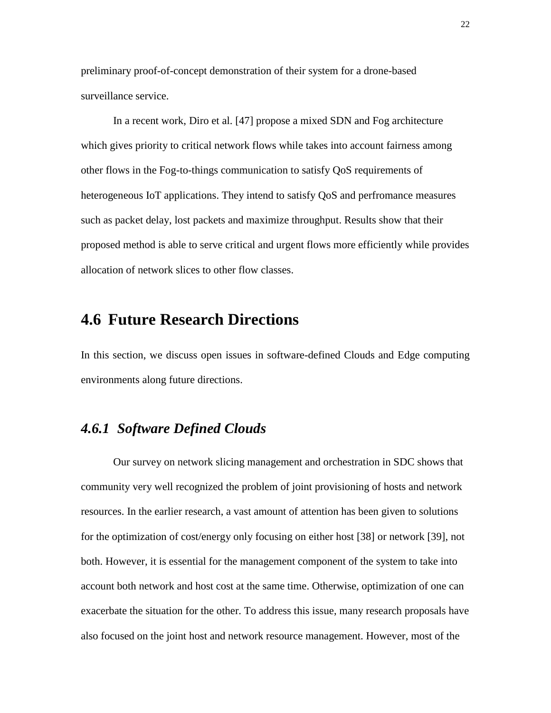preliminary proof-of-concept demonstration of their system for a drone-based surveillance service.

In a recent work, Diro et al. [\[47\]](#page-29-8) propose a mixed SDN and Fog architecture which gives priority to critical network flows while takes into account fairness among other flows in the Fog-to-things communication to satisfy QoS requirements of heterogeneous IoT applications. They intend to satisfy QoS and perfromance measures such as packet delay, lost packets and maximize throughput. Results show that their proposed method is able to serve critical and urgent flows more efficiently while provides allocation of network slices to other flow classes.

# **4.6 Future Research Directions**

In this section, we discuss open issues in software-defined Clouds and Edge computing environments along future directions.

### *4.6.1 Software Defined Clouds*

Our survey on network slicing management and orchestration in SDC shows that community very well recognized the problem of joint provisioning of hosts and network resources. In the earlier research, a vast amount of attention has been given to solutions for the optimization of cost/energy only focusing on either host [\[38\]](#page-28-11) or network [\[39\],](#page-28-12) not both. However, it is essential for the management component of the system to take into account both network and host cost at the same time. Otherwise, optimization of one can exacerbate the situation for the other. To address this issue, many research proposals have also focused on the joint host and network resource management. However, most of the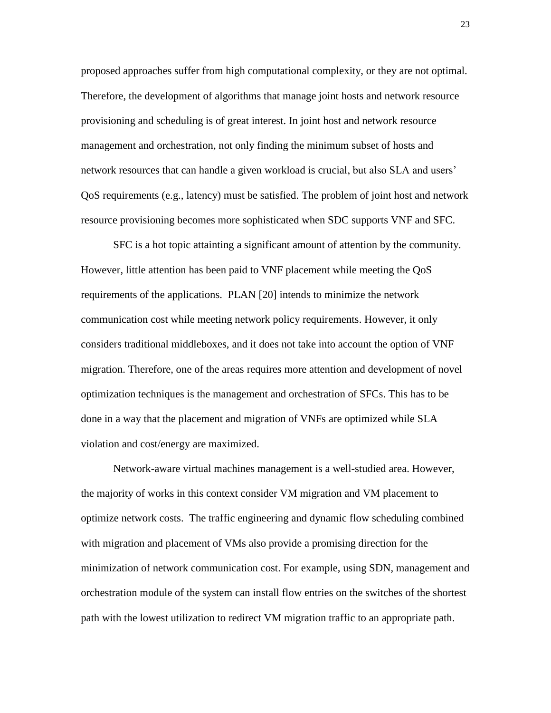proposed approaches suffer from high computational complexity, or they are not optimal. Therefore, the development of algorithms that manage joint hosts and network resource provisioning and scheduling is of great interest. In joint host and network resource management and orchestration, not only finding the minimum subset of hosts and network resources that can handle a given workload is crucial, but also SLA and users' QoS requirements (e.g., latency) must be satisfied. The problem of joint host and network resource provisioning becomes more sophisticated when SDC supports VNF and SFC.

SFC is a hot topic attainting a significant amount of attention by the community. However, little attention has been paid to VNF placement while meeting the QoS requirements of the applications. PLAN [\[20\]](#page-27-7) intends to minimize the network communication cost while meeting network policy requirements. However, it only considers traditional middleboxes, and it does not take into account the option of VNF migration. Therefore, one of the areas requires more attention and development of novel optimization techniques is the management and orchestration of SFCs. This has to be done in a way that the placement and migration of VNFs are optimized while SLA violation and cost/energy are maximized.

Network-aware virtual machines management is a well-studied area. However, the majority of works in this context consider VM migration and VM placement to optimize network costs. The traffic engineering and dynamic flow scheduling combined with migration and placement of VMs also provide a promising direction for the minimization of network communication cost. For example, using SDN, management and orchestration module of the system can install flow entries on the switches of the shortest path with the lowest utilization to redirect VM migration traffic to an appropriate path.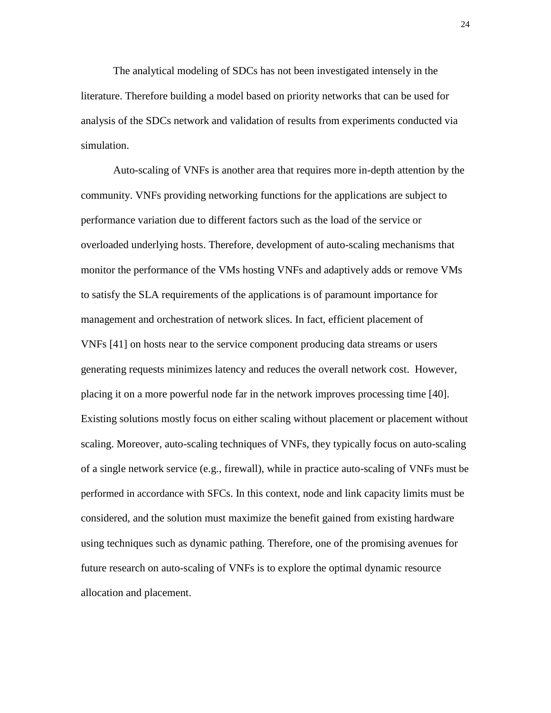The analytical modeling of SDCs has not been investigated intensely in the literature. Therefore building a model based on priority networks that can be used for analysis of the SDCs network and validation of results from experiments conducted via simulation.

Auto-scaling of VNFs is another area that requires more in-depth attention by the community. VNFs providing networking functions for the applications are subject to performance variation due to different factors such as the load of the service or overloaded underlying hosts. Therefore, development of auto-scaling mechanisms that monitor the performance of the VMs hosting VNFs and adaptively adds or remove VMs to satisfy the SLA requirements of the applications is of paramount importance for management and orchestration of network slices. In fact, efficient placement of VNFs [\[41\]](#page-29-9) on hosts near to the service component producing data streams or users generating requests minimizes latency and reduces the overall network cost. However, placing it on a more powerful node far in the network improves processing time [\[40\].](#page-29-10) Existing solutions mostly focus on either scaling without placement or placement without scaling. Moreover, auto-scaling techniques of VNFs, they typically focus on auto-scaling of a single network service (e.g., firewall), while in practice auto-scaling of VNFs must be performed in accordance with SFCs. In this context, node and link capacity limits must be considered, and the solution must maximize the benefit gained from existing hardware using techniques such as dynamic pathing. Therefore, one of the promising avenues for future research on auto-scaling of VNFs is to explore the optimal dynamic resource allocation and placement.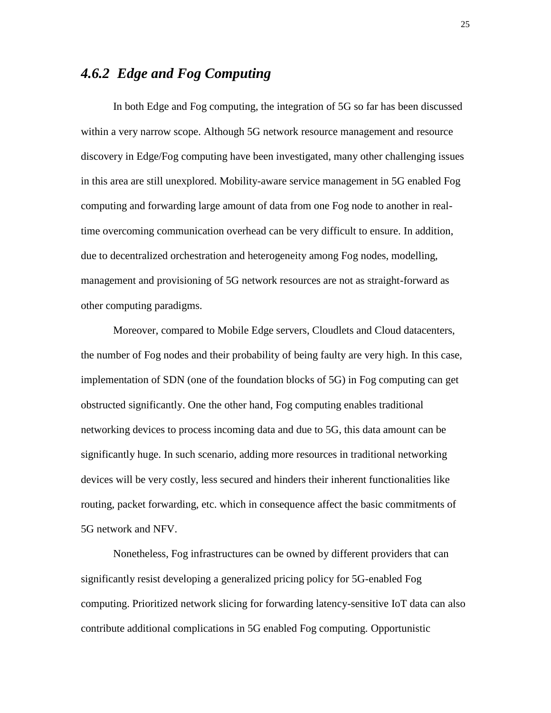#### *4.6.2 Edge and Fog Computing*

In both Edge and Fog computing, the integration of 5G so far has been discussed within a very narrow scope. Although 5G network resource management and resource discovery in Edge/Fog computing have been investigated, many other challenging issues in this area are still unexplored. Mobility-aware service management in 5G enabled Fog computing and forwarding large amount of data from one Fog node to another in realtime overcoming communication overhead can be very difficult to ensure. In addition, due to decentralized orchestration and heterogeneity among Fog nodes, modelling, management and provisioning of 5G network resources are not as straight-forward as other computing paradigms.

Moreover, compared to Mobile Edge servers, Cloudlets and Cloud datacenters, the number of Fog nodes and their probability of being faulty are very high. In this case, implementation of SDN (one of the foundation blocks of 5G) in Fog computing can get obstructed significantly. One the other hand, Fog computing enables traditional networking devices to process incoming data and due to 5G, this data amount can be significantly huge. In such scenario, adding more resources in traditional networking devices will be very costly, less secured and hinders their inherent functionalities like routing, packet forwarding, etc. which in consequence affect the basic commitments of 5G network and NFV.

Nonetheless, Fog infrastructures can be owned by different providers that can significantly resist developing a generalized pricing policy for 5G-enabled Fog computing. Prioritized network slicing for forwarding latency-sensitive IoT data can also contribute additional complications in 5G enabled Fog computing. Opportunistic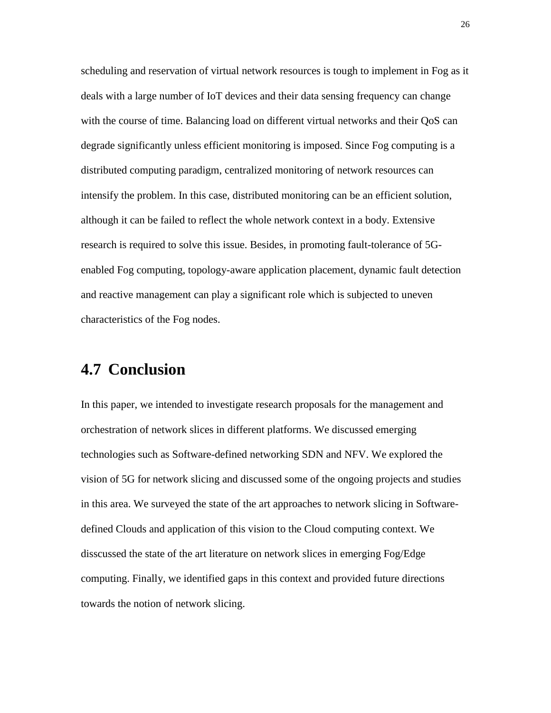scheduling and reservation of virtual network resources is tough to implement in Fog as it deals with a large number of IoT devices and their data sensing frequency can change with the course of time. Balancing load on different virtual networks and their QoS can degrade significantly unless efficient monitoring is imposed. Since Fog computing is a distributed computing paradigm, centralized monitoring of network resources can intensify the problem. In this case, distributed monitoring can be an efficient solution, although it can be failed to reflect the whole network context in a body. Extensive research is required to solve this issue. Besides, in promoting fault-tolerance of 5Genabled Fog computing, topology-aware application placement, dynamic fault detection and reactive management can play a significant role which is subjected to uneven characteristics of the Fog nodes.

# **4.7 Conclusion**

In this paper, we intended to investigate research proposals for the management and orchestration of network slices in different platforms. We discussed emerging technologies such as Software-defined networking SDN and NFV. We explored the vision of 5G for network slicing and discussed some of the ongoing projects and studies in this area. We surveyed the state of the art approaches to network slicing in Softwaredefined Clouds and application of this vision to the Cloud computing context. We disscussed the state of the art literature on network slices in emerging Fog/Edge computing. Finally, we identified gaps in this context and provided future directions towards the notion of network slicing.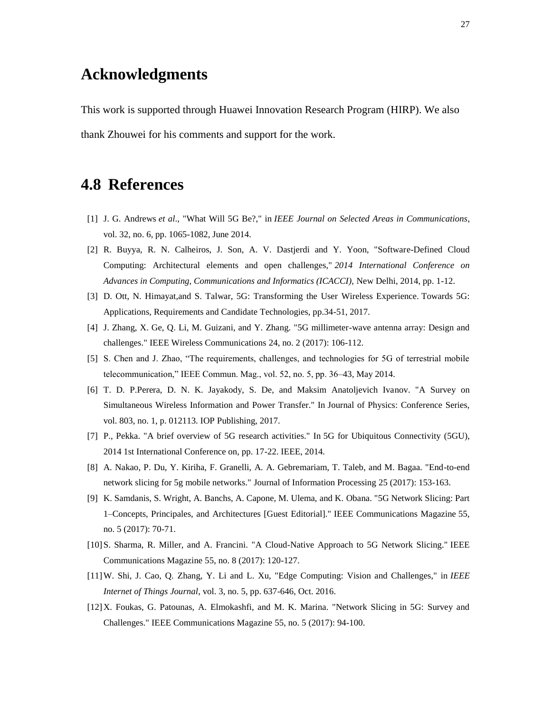# **Acknowledgments**

This work is supported through Huawei Innovation Research Program (HIRP). We also thank Zhouwei for his comments and support for the work.

# **4.8 References**

- <span id="page-26-0"></span>[1] J. G. Andrews *et al*., "What Will 5G Be?," in *IEEE Journal on Selected Areas in Communications*, vol. 32, no. 6, pp. 1065-1082, June 2014.
- <span id="page-26-4"></span>[2] R. Buyya, R. N. Calheiros, J. Son, A. V. Dastjerdi and Y. Yoon, "Software-Defined Cloud Computing: Architectural elements and open challenges," *2014 International Conference on Advances in Computing, Communications and Informatics (ICACCI),* New Delhi, 2014, pp. 1-12.
- <span id="page-26-1"></span>[3] D. Ott, N. Himayat,and S. Talwar, 5G: Transforming the User Wireless Experience. Towards 5G: Applications, Requirements and Candidate Technologies, pp.34-51, 2017.
- <span id="page-26-2"></span>[4] J. Zhang, X. Ge, Q. Li, M. Guizani, and Y. Zhang. "5G millimeter-wave antenna array: Design and challenges." IEEE Wireless Communications 24, no. 2 (2017): 106-112.
- <span id="page-26-3"></span>[5] S. Chen and J. Zhao, "The requirements, challenges, and technologies for 5G of terrestrial mobile telecommunication," IEEE Commun. Mag., vol. 52, no. 5, pp. 36–43, May 2014.
- <span id="page-26-5"></span>[6] T. D. P.Perera, D. N. K. Jayakody, S. De, and Maksim Anatoljevich Ivanov. "A Survey on Simultaneous Wireless Information and Power Transfer." In Journal of Physics: Conference Series, vol. 803, no. 1, p. 012113. IOP Publishing, 2017.
- [7] P., Pekka. "A brief overview of 5G research activities." In 5G for Ubiquitous Connectivity (5GU), 2014 1st International Conference on, pp. 17-22. IEEE, 2014.
- <span id="page-26-6"></span>[8] A. Nakao, P. Du, Y. Kiriha, F. Granelli, A. A. Gebremariam, T. Taleb, and M. Bagaa. "End-to-end network slicing for 5g mobile networks." Journal of Information Processing 25 (2017): 153-163.
- <span id="page-26-7"></span>[9] K. Samdanis, S. Wright, A. Banchs, A. Capone, M. Ulema, and K. Obana. "5G Network Slicing: Part 1–Concepts, Principales, and Architectures [Guest Editorial]." IEEE Communications Magazine 55, no. 5 (2017): 70-71.
- <span id="page-26-8"></span>[10]S. Sharma, R. Miller, and A. Francini. "A Cloud-Native Approach to 5G Network Slicing." IEEE Communications Magazine 55, no. 8 (2017): 120-127.
- <span id="page-26-9"></span>[11]W. Shi, J. Cao, Q. Zhang, Y. Li and L. Xu, "Edge Computing: Vision and Challenges," in *IEEE Internet of Things Journal*, vol. 3, no. 5, pp. 637-646, Oct. 2016.
- <span id="page-26-10"></span>[12]X. Foukas, G. Patounas, A. Elmokashfi, and M. K. Marina. "Network Slicing in 5G: Survey and Challenges." IEEE Communications Magazine 55, no. 5 (2017): 94-100.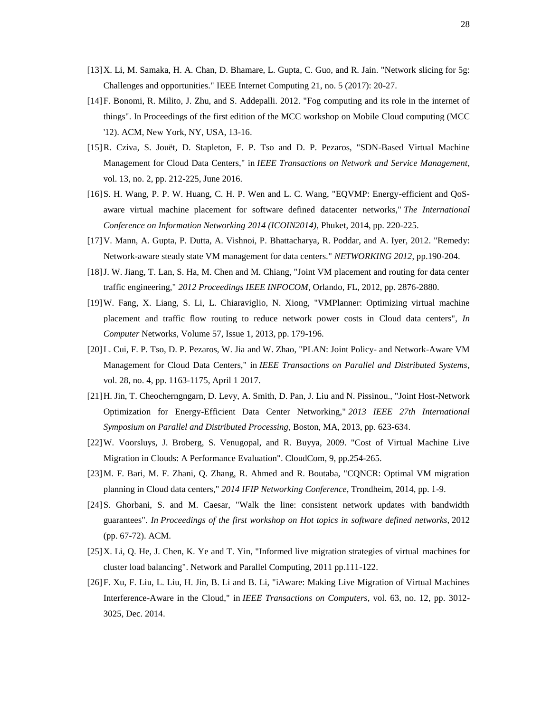- [13]X. Li, M. Samaka, H. A. Chan, D. Bhamare, L. Gupta, C. Guo, and R. Jain. "Network slicing for 5g: Challenges and opportunities." IEEE Internet Computing 21, no. 5 (2017): 20-27.
- <span id="page-27-0"></span>[14]F. Bonomi, R. Milito, J. Zhu, and S. Addepalli. 2012. "Fog computing and its role in the internet of things". In Proceedings of the first edition of the MCC workshop on Mobile Cloud computing (MCC '12). ACM, New York, NY, USA, 13-16.
- <span id="page-27-1"></span>[15]R. Cziva, S. Jouët, D. Stapleton, F. P. Tso and D. P. Pezaros, "SDN-Based Virtual Machine Management for Cloud Data Centers," in *IEEE Transactions on Network and Service Management*, vol. 13, no. 2, pp. 212-225, June 2016.
- <span id="page-27-2"></span>[16]S. H. Wang, P. P. W. Huang, C. H. P. Wen and L. C. Wang, "EQVMP: Energy-efficient and QoSaware virtual machine placement for software defined datacenter networks," *The International Conference on Information Networking 2014 (ICOIN2014)*, Phuket, 2014, pp. 220-225.
- <span id="page-27-3"></span>[17]V. Mann, A. Gupta, P. Dutta, A. Vishnoi, P. Bhattacharya, R. Poddar, and A. Iyer, 2012. "Remedy: Network-aware steady state VM management for data centers." *NETWORKING 2012*, pp.190-204.
- <span id="page-27-4"></span>[18]J. W. Jiang, T. Lan, S. Ha, M. Chen and M. Chiang, "Joint VM placement and routing for data center traffic engineering," *2012 Proceedings IEEE INFOCOM*, Orlando, FL, 2012, pp. 2876-2880.
- <span id="page-27-5"></span>[19]W. Fang, X. Liang, S. Li, L. Chiaraviglio, N. Xiong, "VMPlanner: Optimizing virtual machine placement and traffic flow routing to reduce network power costs in Cloud data centers", *In Computer* Networks, Volume 57, Issue 1, 2013, pp. 179-196.
- <span id="page-27-7"></span>[20]L. Cui, F. P. Tso, D. P. Pezaros, W. Jia and W. Zhao, "PLAN: Joint Policy- and Network-Aware VM Management for Cloud Data Centers," in *IEEE Transactions on Parallel and Distributed Systems*, vol. 28, no. 4, pp. 1163-1175, April 1 2017.
- <span id="page-27-6"></span>[21]H. Jin, T. Cheocherngngarn, D. Levy, A. Smith, D. Pan, J. Liu and N. Pissinou., "Joint Host-Network Optimization for Energy-Efficient Data Center Networking," *2013 IEEE 27th International Symposium on Parallel and Distributed Processing*, Boston, MA, 2013, pp. 623-634.
- <span id="page-27-8"></span>[22]W. Voorsluys, J. Broberg, S. Venugopal, and R. Buyya, 2009. "Cost of Virtual Machine Live Migration in Clouds: A Performance Evaluation". CloudCom, 9, pp.254-265.
- <span id="page-27-9"></span>[23]M. F. Bari, M. F. Zhani, Q. Zhang, R. Ahmed and R. Boutaba, "CQNCR: Optimal VM migration planning in Cloud data centers," *2014 IFIP Networking Conference*, Trondheim, 2014, pp. 1-9.
- <span id="page-27-10"></span>[24]S. Ghorbani, S. and M. Caesar, "Walk the line: consistent network updates with bandwidth guarantees". *In Proceedings of the first workshop on Hot topics in software defined networks,* 2012 (pp. 67-72). ACM.
- <span id="page-27-11"></span>[25]X. Li, Q. He, J. Chen, K. Ye and T. Yin, "Informed live migration strategies of virtual machines for cluster load balancing". Network and Parallel Computing, 2011 pp.111-122.
- <span id="page-27-12"></span>[26]F. Xu, F. Liu, L. Liu, H. Jin, B. Li and B. Li, "iAware: Making Live Migration of Virtual Machines Interference-Aware in the Cloud," in *IEEE Transactions on Computers*, vol. 63, no. 12, pp. 3012- 3025, Dec. 2014.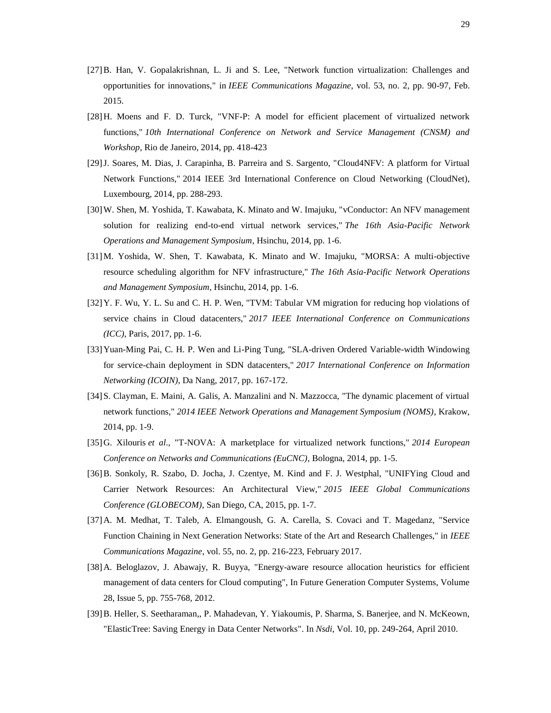- <span id="page-28-0"></span>[27]B. Han, V. Gopalakrishnan, L. Ji and S. Lee, "Network function virtualization: Challenges and opportunities for innovations," in *IEEE Communications Magazine*, vol. 53, no. 2, pp. 90-97, Feb. 2015.
- <span id="page-28-1"></span>[28]H. Moens and F. D. Turck, "VNF-P: A model for efficient placement of virtualized network functions," *10th International Conference on Network and Service Management (CNSM) and Workshop*, Rio de Janeiro, 2014, pp. 418-423
- <span id="page-28-2"></span>[29]J. Soares, M. Dias, J. Carapinha, B. Parreira and S. Sargento, "Cloud4NFV: A platform for Virtual Network Functions," 2014 IEEE 3rd International Conference on Cloud Networking (CloudNet), Luxembourg, 2014, pp. 288-293.
- <span id="page-28-3"></span>[30]W. Shen, M. Yoshida, T. Kawabata, K. Minato and W. Imajuku, "vConductor: An NFV management solution for realizing end-to-end virtual network services," *The 16th Asia-Pacific Network Operations and Management Symposium*, Hsinchu, 2014, pp. 1-6.
- <span id="page-28-4"></span>[31]M. Yoshida, W. Shen, T. Kawabata, K. Minato and W. Imajuku, "MORSA: A multi-objective resource scheduling algorithm for NFV infrastructure," *The 16th Asia-Pacific Network Operations and Management Symposium*, Hsinchu, 2014, pp. 1-6.
- <span id="page-28-5"></span>[32]Y. F. Wu, Y. L. Su and C. H. P. Wen, "TVM: Tabular VM migration for reducing hop violations of service chains in Cloud datacenters," *2017 IEEE International Conference on Communications (ICC)*, Paris, 2017, pp. 1-6.
- <span id="page-28-6"></span>[33]Yuan-Ming Pai, C. H. P. Wen and Li-Ping Tung, "SLA-driven Ordered Variable-width Windowing for service-chain deployment in SDN datacenters," *2017 International Conference on Information Networking (ICOIN)*, Da Nang, 2017, pp. 167-172.
- <span id="page-28-7"></span>[34]S. Clayman, E. Maini, A. Galis, A. Manzalini and N. Mazzocca, "The dynamic placement of virtual network functions," *2014 IEEE Network Operations and Management Symposium (NOMS)*, Krakow, 2014, pp. 1-9.
- <span id="page-28-8"></span>[35]G. Xilouris *et al*., "T-NOVA: A marketplace for virtualized network functions," *2014 European Conference on Networks and Communications (EuCNC)*, Bologna, 2014, pp. 1-5.
- <span id="page-28-9"></span>[36]B. Sonkoly, R. Szabo, D. Jocha, J. Czentye, M. Kind and F. J. Westphal, "UNIFYing Cloud and Carrier Network Resources: An Architectural View," *2015 IEEE Global Communications Conference (GLOBECOM)*, San Diego, CA, 2015, pp. 1-7.
- <span id="page-28-10"></span>[37]A. M. Medhat, T. Taleb, A. Elmangoush, G. A. Carella, S. Covaci and T. Magedanz, "Service Function Chaining in Next Generation Networks: State of the Art and Research Challenges," in *IEEE Communications Magazine*, vol. 55, no. 2, pp. 216-223, February 2017.
- <span id="page-28-11"></span>[38]A. Beloglazov, J. Abawajy, R. Buyya, "Energy-aware resource allocation heuristics for efficient management of data centers for Cloud computing", In Future Generation Computer Systems, Volume 28, Issue 5, pp. 755-768, 2012.
- <span id="page-28-12"></span>[39]B. Heller, S. Seetharaman,, P. Mahadevan, Y. Yiakoumis, P. Sharma, S. Banerjee, and N. McKeown, "ElasticTree: Saving Energy in Data Center Networks". In *Nsdi*, Vol. 10, pp. 249-264, April 2010.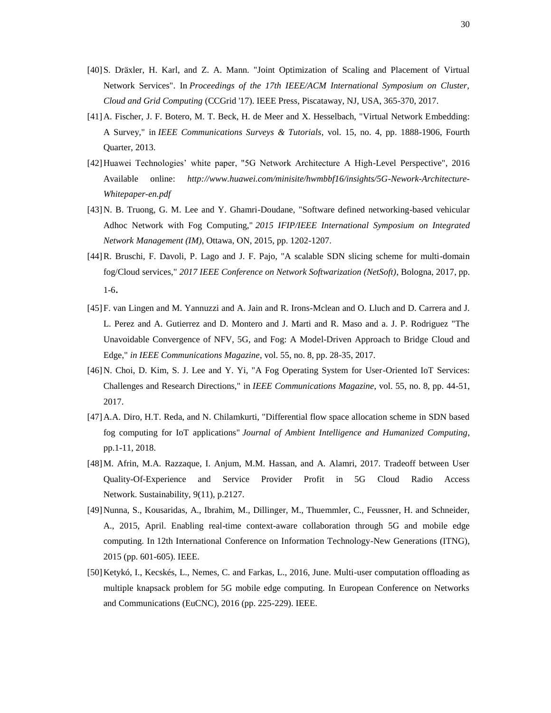- <span id="page-29-10"></span>[40]S. Dräxler, H. Karl, and Z. A. Mann. "Joint Optimization of Scaling and Placement of Virtual Network Services". In *Proceedings of the 17th IEEE/ACM International Symposium on Cluster, Cloud and Grid Computing* (CCGrid '17). IEEE Press, Piscataway, NJ, USA, 365-370, 2017.
- <span id="page-29-9"></span>[41]A. Fischer, J. F. Botero, M. T. Beck, H. de Meer and X. Hesselbach, "Virtual Network Embedding: A Survey," in *IEEE Communications Surveys & Tutorials*, vol. 15, no. 4, pp. 1888-1906, Fourth Quarter, 2013.
- <span id="page-29-3"></span>[42]Huawei Technologies' white paper, "5G Network Architecture A High-Level Perspective", 2016 Available online: *http://www.huawei.com/minisite/hwmbbf16/insights/5G-Nework-Architecture-Whitepaper-en.pdf*
- <span id="page-29-5"></span>[43]N. B. Truong, G. M. Lee and Y. Ghamri-Doudane, "Software defined networking-based vehicular Adhoc Network with Fog Computing," *2015 IFIP/IEEE International Symposium on Integrated Network Management (IM)*, Ottawa, ON, 2015, pp. 1202-1207.
- <span id="page-29-6"></span>[44]R. Bruschi, F. Davoli, P. Lago and J. F. Pajo, "A scalable SDN slicing scheme for multi-domain fog/Cloud services," *2017 IEEE Conference on Network Softwarization (NetSoft)*, Bologna, 2017, pp. 1-6.
- <span id="page-29-4"></span>[45]F. van Lingen and M. Yannuzzi and A. Jain and R. Irons-Mclean and O. Lluch and D. Carrera and J. L. Perez and A. Gutierrez and D. Montero and J. Marti and R. Maso and a. J. P. Rodriguez "The Unavoidable Convergence of NFV, 5G, and Fog: A Model-Driven Approach to Bridge Cloud and Edge," *in IEEE Communications Magazine*, vol. 55, no. 8, pp. 28-35, 2017.
- <span id="page-29-7"></span>[46]N. Choi, D. Kim, S. J. Lee and Y. Yi, "A Fog Operating System for User-Oriented IoT Services: Challenges and Research Directions," in *IEEE Communications Magazine*, vol. 55, no. 8, pp. 44-51, 2017.
- <span id="page-29-8"></span>[47]A.A. Diro, H.T. Reda, and N. Chilamkurti, "Differential flow space allocation scheme in SDN based fog computing for IoT applications" *Journal of Ambient Intelligence and Humanized Computing*, pp.1-11, 2018.
- <span id="page-29-0"></span>[48]M. Afrin, M.A. Razzaque, I. Anjum, M.M. Hassan, and A. Alamri, 2017. Tradeoff between User Quality-Of-Experience and Service Provider Profit in 5G Cloud Radio Access Network. Sustainability, 9(11), p.2127.
- <span id="page-29-1"></span>[49]Nunna, S., Kousaridas, A., Ibrahim, M., Dillinger, M., Thuemmler, C., Feussner, H. and Schneider, A., 2015, April. Enabling real-time context-aware collaboration through 5G and mobile edge computing. In 12th International Conference on Information Technology-New Generations (ITNG), 2015 (pp. 601-605). IEEE.
- <span id="page-29-2"></span>[50]Ketykó, I., Kecskés, L., Nemes, C. and Farkas, L., 2016, June. Multi-user computation offloading as multiple knapsack problem for 5G mobile edge computing. In European Conference on Networks and Communications (EuCNC), 2016 (pp. 225-229). IEEE.